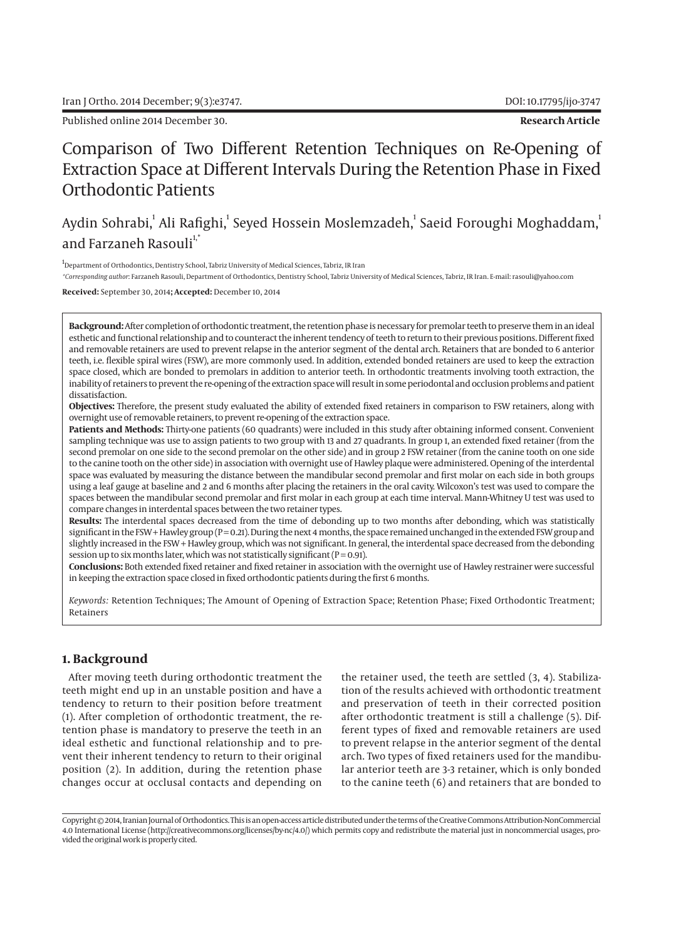Published online 2014 December 30. **Research Article**

# Comparison of Two Different Retention Techniques on Re-Opening of Extraction Space at Different Intervals During the Retention Phase in Fixed Orthodontic Patients

## Aydin Sohrabi,<sup>1</sup> Ali Rafighi,<sup>1</sup> Seyed Hossein Moslemzadeh,<sup>1</sup> Saeid Foroughi Moghaddam,<sup>1</sup> and Farzaneh Rasouli<sup>1,\*</sup>

<sup>1</sup>Department of Orthodontics, Dentistry School, Tabriz University of Medical Sciences, Tabriz, IR Iran

*\*Corresponding author*: Farzaneh Rasouli, Department of Orthodontics, Dentistry School, Tabriz University of Medical Sciences, Tabriz, IR Iran. E-mail: rasouli@yahoo.com

#### **Received:** September 30, 2014**; Accepted:** December 10, 2014

**Background:** After completion of orthodontic treatment, the retention phase is necessary for premolar teeth to preserve them in an ideal esthetic and functional relationship and to counteract the inherent tendency of teeth to return to their previous positions. Different fixed and removable retainers are used to prevent relapse in the anterior segment of the dental arch. Retainers that are bonded to 6 anterior teeth, i.e. flexible spiral wires (FSW), are more commonly used. In addition, extended bonded retainers are used to keep the extraction space closed, which are bonded to premolars in addition to anterior teeth. In orthodontic treatments involving tooth extraction, the inability of retainers to prevent the re-opening of the extraction space will result in some periodontal and occlusion problems and patient dissatisfaction.

**Objectives:** Therefore, the present study evaluated the ability of extended fixed retainers in comparison to FSW retainers, along with overnight use of removable retainers, to prevent re-opening of the extraction space.

**Patients and Methods:** Thirty-one patients (60 quadrants) were included in this study after obtaining informed consent. Convenient sampling technique was use to assign patients to two group with 13 and 27 quadrants. In group 1, an extended fixed retainer (from the second premolar on one side to the second premolar on the other side) and in group 2 FSW retainer (from the canine tooth on one side to the canine tooth on the other side) in association with overnight use of Hawley plaque were administered. Opening of the interdental space was evaluated by measuring the distance between the mandibular second premolar and first molar on each side in both groups using a leaf gauge at baseline and 2 and 6 months after placing the retainers in the oral cavity. Wilcoxon's test was used to compare the spaces between the mandibular second premolar and first molar in each group at each time interval. Mann-Whitney U test was used to compare changes in interdental spaces between the two retainer types.

**Results:** The interdental spaces decreased from the time of debonding up to two months after debonding, which was statistically significant in the FSW + Hawley group (P = 0.21). During the next 4 months, the space remained unchanged in the extended FSW group and slightly increased in the FSW + Hawley group, which was not significant. In general, the interdental space decreased from the debonding session up to six months later, which was not statistically significant ( $P = 0.91$ ).

**Conclusions:** Both extended fixed retainer and fixed retainer in association with the overnight use of Hawley restrainer were successful in keeping the extraction space closed in fixed orthodontic patients during the first 6 months.

*Keywords:* Retention Techniques; The Amount of Opening of Extraction Space; Retention Phase; Fixed Orthodontic Treatment; Retainers

## **1. Background**

After moving teeth during orthodontic treatment the teeth might end up in an unstable position and have a tendency to return to their position before treatment (1). After completion of orthodontic treatment, the retention phase is mandatory to preserve the teeth in an ideal esthetic and functional relationship and to prevent their inherent tendency to return to their original position (2). In addition, during the retention phase changes occur at occlusal contacts and depending on

the retainer used, the teeth are settled (3, 4). Stabilization of the results achieved with orthodontic treatment and preservation of teeth in their corrected position after orthodontic treatment is still a challenge (5). Different types of fixed and removable retainers are used to prevent relapse in the anterior segment of the dental arch. Two types of fixed retainers used for the mandibular anterior teeth are 3-3 retainer, which is only bonded to the canine teeth (6) and retainers that are bonded to

Copyright © 2014, Iranian Journal of Orthodontics. This is an open-access article distributed under the terms of the Creative Commons Attribution-NonCommercial 4.0 International License (http://creativecommons.org/licenses/by-nc/4.0/) which permits copy and redistribute the material just in noncommercial usages, provided the original work is properly cited.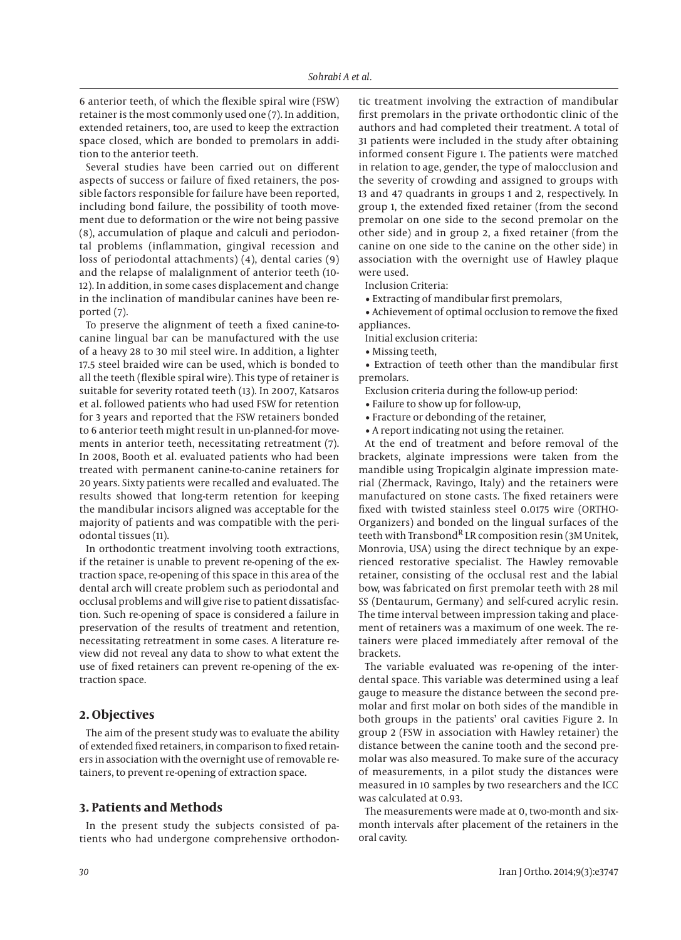6 anterior teeth, of which the flexible spiral wire (FSW) retainer is the most commonly used one (7). In addition, extended retainers, too, are used to keep the extraction space closed, which are bonded to premolars in addition to the anterior teeth.

Several studies have been carried out on different aspects of success or failure of fixed retainers, the possible factors responsible for failure have been reported, including bond failure, the possibility of tooth movement due to deformation or the wire not being passive (8), accumulation of plaque and calculi and periodontal problems (inflammation, gingival recession and loss of periodontal attachments) (4), dental caries (9) and the relapse of malalignment of anterior teeth (10- 12). In addition, in some cases displacement and change in the inclination of mandibular canines have been reported (7).

To preserve the alignment of teeth a fixed canine-tocanine lingual bar can be manufactured with the use of a heavy 28 to 30 mil steel wire. In addition, a lighter 17.5 steel braided wire can be used, which is bonded to all the teeth (flexible spiral wire). This type of retainer is suitable for severity rotated teeth (13). In 2007, Katsaros et al. followed patients who had used FSW for retention for 3 years and reported that the FSW retainers bonded to 6 anterior teeth might result in un-planned-for movements in anterior teeth, necessitating retreatment (7). In 2008, Booth et al. evaluated patients who had been treated with permanent canine-to-canine retainers for 20 years. Sixty patients were recalled and evaluated. The results showed that long-term retention for keeping the mandibular incisors aligned was acceptable for the majority of patients and was compatible with the periodontal tissues (11).

In orthodontic treatment involving tooth extractions, if the retainer is unable to prevent re-opening of the extraction space, re-opening of this space in this area of the dental arch will create problem such as periodontal and occlusal problems and will give rise to patient dissatisfaction. Such re-opening of space is considered a failure in preservation of the results of treatment and retention, necessitating retreatment in some cases. A literature review did not reveal any data to show to what extent the use of fixed retainers can prevent re-opening of the extraction space.

## **2. Objectives**

The aim of the present study was to evaluate the ability of extended fixed retainers, in comparison to fixed retainers in association with the overnight use of removable retainers, to prevent re-opening of extraction space.

## **3. Patients and Methods**

In the present study the subjects consisted of patients who had undergone comprehensive orthodontic treatment involving the extraction of mandibular first premolars in the private orthodontic clinic of the authors and had completed their treatment. A total of 31 patients were included in the study after obtaining informed consent Figure 1. The patients were matched in relation to age, gender, the type of malocclusion and the severity of crowding and assigned to groups with 13 and 47 quadrants in groups 1 and 2, respectively. In group 1, the extended fixed retainer (from the second premolar on one side to the second premolar on the other side) and in group 2, a fixed retainer (from the canine on one side to the canine on the other side) in association with the overnight use of Hawley plaque were used.

Inclusion Criteria:

• Extracting of mandibular first premolars,

• Achievement of optimal occlusion to remove the fixed appliances.

Initial exclusion criteria:

• Missing teeth,

• Extraction of teeth other than the mandibular first premolars.

- Exclusion criteria during the follow-up period:
- Failure to show up for follow-up,
- Fracture or debonding of the retainer,
- A report indicating not using the retainer.

At the end of treatment and before removal of the brackets, alginate impressions were taken from the mandible using Tropicalgin alginate impression material (Zhermack, Ravingo, Italy) and the retainers were manufactured on stone casts. The fixed retainers were fixed with twisted stainless steel 0.0175 wire (ORTHO-Organizers) and bonded on the lingual surfaces of the teeth with Transbond<sup>R</sup> LR composition resin (3M Unitek, Monrovia, USA) using the direct technique by an experienced restorative specialist. The Hawley removable retainer, consisting of the occlusal rest and the labial bow, was fabricated on first premolar teeth with 28 mil SS (Dentaurum, Germany) and self-cured acrylic resin. The time interval between impression taking and placement of retainers was a maximum of one week. The retainers were placed immediately after removal of the brackets.

The variable evaluated was re-opening of the interdental space. This variable was determined using a leaf gauge to measure the distance between the second premolar and first molar on both sides of the mandible in both groups in the patients' oral cavities Figure 2. In group 2 (FSW in association with Hawley retainer) the distance between the canine tooth and the second premolar was also measured. To make sure of the accuracy of measurements, in a pilot study the distances were measured in 10 samples by two researchers and the ICC was calculated at 0.93.

The measurements were made at 0, two-month and sixmonth intervals after placement of the retainers in the oral cavity.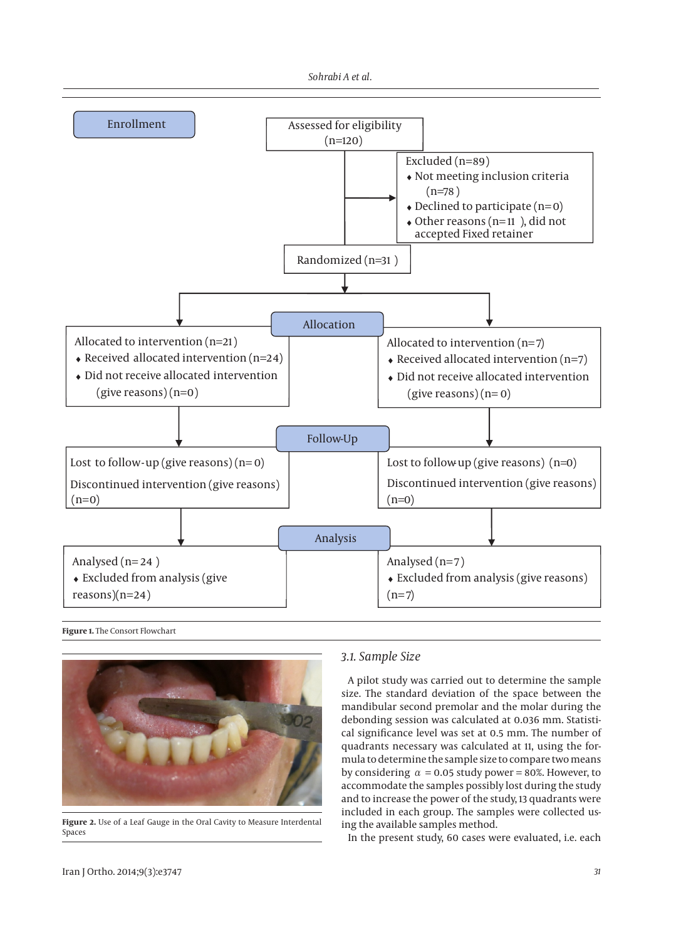



**Figure 1.** The Consort Flowchart



**Figure 2.** Use of a Leaf Gauge in the Oral Cavity to Measure Interdental Spaces

## *3.1. Sample Size*

A pilot study was carried out to determine the sample size. The standard deviation of the space between the mandibular second premolar and the molar during the debonding session was calculated at 0.036 mm. Statistical significance level was set at 0.5 mm. The number of quadrants necessary was calculated at 11, using the formula to determine the sample size to compare two means by considering  $\alpha = 0.05$  study power = 80%. However, to accommodate the samples possibly lost during the study and to increase the power of the study, 13 quadrants were included in each group. The samples were collected using the available samples method.

In the present study, 60 cases were evaluated, i.e. each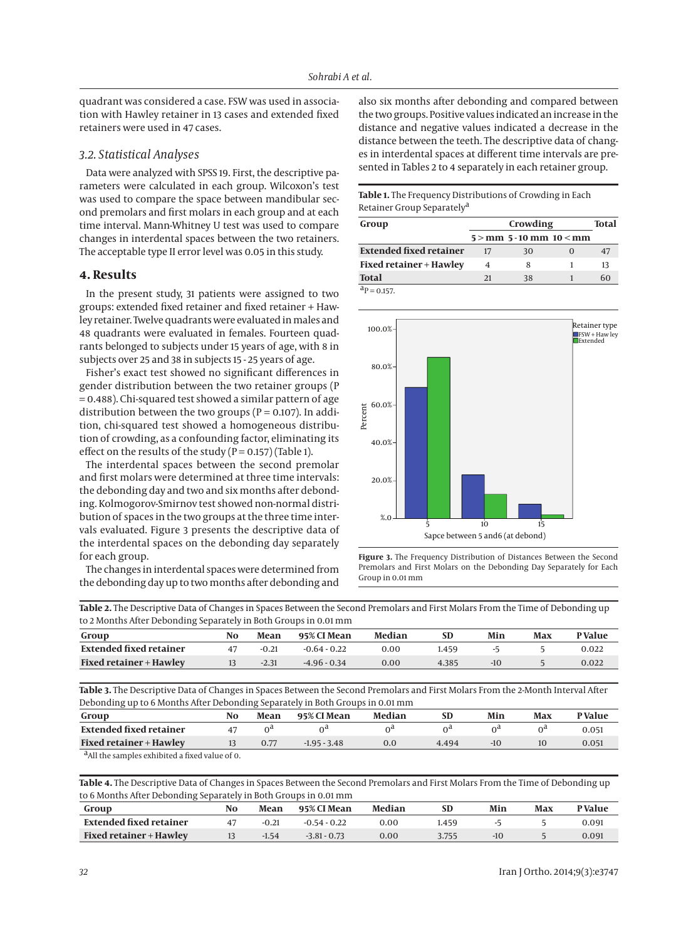quadrant was considered a case. FSW was used in association with Hawley retainer in 13 cases and extended fixed retainers were used in 47 cases.

#### *3.2. Statistical Analyses*

Data were analyzed with SPSS 19. First, the descriptive parameters were calculated in each group. Wilcoxon's test was used to compare the space between mandibular second premolars and first molars in each group and at each time interval. Mann-Whitney U test was used to compare changes in interdental spaces between the two retainers. The acceptable type II error level was 0.05 in this study.

#### **4. Results**

In the present study, 31 patients were assigned to two groups: extended fixed retainer and fixed retainer + Hawley retainer. Twelve quadrants were evaluated in males and 48 quadrants were evaluated in females. Fourteen quadrants belonged to subjects under 15 years of age, with 8 in subjects over 25 and 38 in subjects 15 - 25 years of age.

Fisher's exact test showed no significant differences in gender distribution between the two retainer groups (P = 0.488). Chi-squared test showed a similar pattern of age distribution between the two groups ( $P = 0.107$ ). In addition, chi-squared test showed a homogeneous distribution of crowding, as a confounding factor, eliminating its effect on the results of the study ( $P = 0.157$ ) (Table 1).

The interdental spaces between the second premolar and first molars were determined at three time intervals: the debonding day and two and six months after debonding. Kolmogorov-Smirnov test showed non-normal distribution of spaces in the two groups at the three time intervals evaluated. Figure 3 presents the descriptive data of the interdental spaces on the debonding day separately for each group.

The changes in interdental spaces were determined from the debonding day up to two months after debonding and also six months after debonding and compared between the two groups. Positive values indicated an increase in the distance and negative values indicated a decrease in the distance between the teeth. The descriptive data of changes in interdental spaces at different time intervals are presented in Tables 2 to 4 separately in each retainer group.

#### **Table 1.** The Frequency Distributions of Crowding in Each Retainer Group Separatelya

| Group                          | Crowding<br>Total |                              |  |    |  |  |
|--------------------------------|-------------------|------------------------------|--|----|--|--|
|                                |                   | $5 >$ mm 5 - 10 mm 10 $<$ mm |  |    |  |  |
| <b>Extended fixed retainer</b> | 17                | 30                           |  | 47 |  |  |
| Fixed retainer + Hawley        | 4                 | 8                            |  | 13 |  |  |
| <b>Total</b>                   | 21                | 38                           |  | 60 |  |  |
| $a_{\rm P} = 0.157$ .          |                   |                              |  |    |  |  |



**Figure 3.** The Frequency Distribution of Distances Between the Second Premolars and First Molars on the Debonding Day Separately for Each Group in 0.01 mm

**Table 2.** The Descriptive Data of Changes in Spaces Between the Second Premolars and First Molars From the Time of Debonding up to 2 Months After Debonding Separately in Both Groups in 0.01 mm

| to 2 months after Debonding separately in both Groups in 0.01 min |    |         |                |        |       |       |     |               |
|-------------------------------------------------------------------|----|---------|----------------|--------|-------|-------|-----|---------------|
| Group                                                             | No | Mean    | 95% CI Mean    | Median | SD    | Min   | Max | <b>PValue</b> |
| Extended fixed retainer                                           |    | $-0.21$ | $-0.64 - 0.22$ | 0.00   | .459  |       |     | 0.022         |
| <b>Fixed retainer + Hawley</b>                                    |    | $-2.31$ | $-4.96 - 0.34$ | 0.00   | 4.385 | $-10$ |     | 0.022         |
|                                                                   |    |         |                |        |       |       |     |               |

**Table 3.** The Descriptive Data of Changes in Spaces Between the Second Premolars and First Molars From the 2-Month Interval After Debonding up to 6 Months After Debonding Separately in Both Groups in 0.01 mm

| .<br>Group                                                 | No | . .<br>Mean | 95% CI Mean    | Median |       | Min   | Max | <b>P</b> Value |
|------------------------------------------------------------|----|-------------|----------------|--------|-------|-------|-----|----------------|
| Extended fixed retainer                                    |    | ∩d          |                | ∩d     |       | ∩d    | ∩d  | 0.051          |
| <b>Fixed retainer + Hawley</b>                             |    | 0.77        | $-1.95 - 3.48$ | 0.0    | 4.494 | $-10$ |     | 0.051          |
| <sup>d</sup> All the samples exhibited a fixed value of 0. |    |             |                |        |       |       |     |                |

**Table 4.** The Descriptive Data of Changes in Spaces Between the Second Premolars and First Molars From the Time of Debonding up to 6 Months After Debonding Separately in Both Groups in 0.01 mm

| Group                          | No | Mean    | 95% CI Mean    | Median |       | Min | Max | P Value |
|--------------------------------|----|---------|----------------|--------|-------|-----|-----|---------|
| Extended fixed retainer        |    | $-0.21$ | $-0.54 - 0.22$ | 0.00   | .459  |     |     | 0.091   |
| <b>Fixed retainer + Hawley</b> |    | $-1.54$ | $-3.81 - 0.73$ | 0.00   | 3.755 |     |     | 0.091   |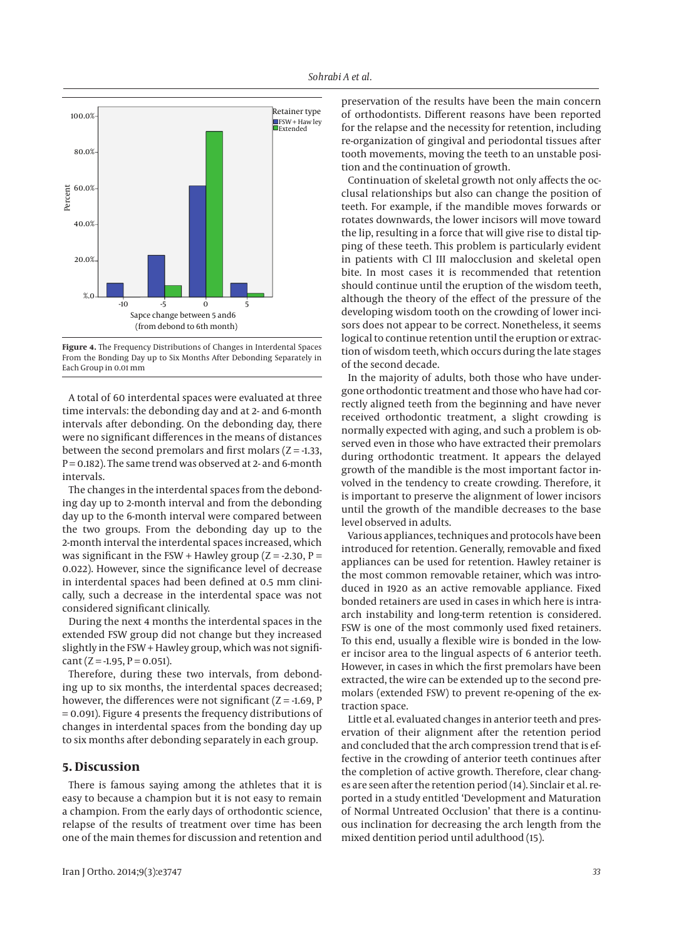

**Figure 4.** The Frequency Distributions of Changes in Interdental Spaces From the Bonding Day up to Six Months After Debonding Separately in Each Group in 0.01 mm

A total of 60 interdental spaces were evaluated at three time intervals: the debonding day and at 2- and 6-month intervals after debonding. On the debonding day, there were no significant differences in the means of distances between the second premolars and first molars  $(Z = -1.33,$  $P = 0.182$ ). The same trend was observed at 2- and 6-month intervals.

The changes in the interdental spaces from the debonding day up to 2-month interval and from the debonding day up to the 6-month interval were compared between the two groups. From the debonding day up to the 2-month interval the interdental spaces increased, which was significant in the FSW + Hawley group  $(Z = -2.30, P =$ 0.022). However, since the significance level of decrease in interdental spaces had been defined at 0.5 mm clinically, such a decrease in the interdental space was not considered significant clinically.

During the next 4 months the interdental spaces in the extended FSW group did not change but they increased slightly in the FSW + Hawley group, which was not signifi- $\text{cant}$  (Z = -1.95, P = 0.051).

Therefore, during these two intervals, from debonding up to six months, the interdental spaces decreased; however, the differences were not significant  $(Z = -1.69, P)$ = 0.091). Figure 4 presents the frequency distributions of changes in interdental spaces from the bonding day up to six months after debonding separately in each group.

#### **5. Discussion**

There is famous saying among the athletes that it is easy to because a champion but it is not easy to remain a champion. From the early days of orthodontic science, relapse of the results of treatment over time has been one of the main themes for discussion and retention and preservation of the results have been the main concern of orthodontists. Different reasons have been reported for the relapse and the necessity for retention, including re-organization of gingival and periodontal tissues after tooth movements, moving the teeth to an unstable position and the continuation of growth.

Continuation of skeletal growth not only affects the occlusal relationships but also can change the position of teeth. For example, if the mandible moves forwards or rotates downwards, the lower incisors will move toward the lip, resulting in a force that will give rise to distal tipping of these teeth. This problem is particularly evident in patients with Cl III malocclusion and skeletal open bite. In most cases it is recommended that retention should continue until the eruption of the wisdom teeth, although the theory of the effect of the pressure of the developing wisdom tooth on the crowding of lower incisors does not appear to be correct. Nonetheless, it seems logical to continue retention until the eruption or extraction of wisdom teeth, which occurs during the late stages of the second decade.

In the majority of adults, both those who have undergone orthodontic treatment and those who have had correctly aligned teeth from the beginning and have never received orthodontic treatment, a slight crowding is normally expected with aging, and such a problem is observed even in those who have extracted their premolars during orthodontic treatment. It appears the delayed growth of the mandible is the most important factor involved in the tendency to create crowding. Therefore, it is important to preserve the alignment of lower incisors until the growth of the mandible decreases to the base level observed in adults.

Various appliances, techniques and protocols have been introduced for retention. Generally, removable and fixed appliances can be used for retention. Hawley retainer is the most common removable retainer, which was introduced in 1920 as an active removable appliance. Fixed bonded retainers are used in cases in which here is intraarch instability and long-term retention is considered. FSW is one of the most commonly used fixed retainers. To this end, usually a flexible wire is bonded in the lower incisor area to the lingual aspects of 6 anterior teeth. However, in cases in which the first premolars have been extracted, the wire can be extended up to the second premolars (extended FSW) to prevent re-opening of the extraction space.

Little et al. evaluated changes in anterior teeth and preservation of their alignment after the retention period and concluded that the arch compression trend that is effective in the crowding of anterior teeth continues after the completion of active growth. Therefore, clear changes are seen after the retention period (14). Sinclair et al. reported in a study entitled 'Development and Maturation of Normal Untreated Occlusion' that there is a continuous inclination for decreasing the arch length from the mixed dentition period until adulthood (15).